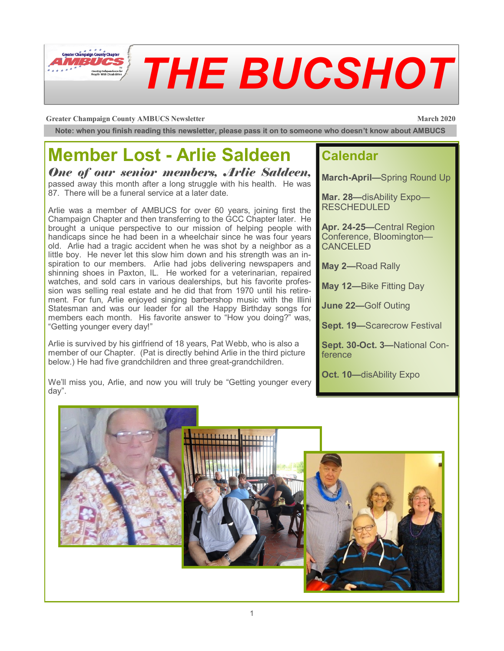

#### **Greater Champaign County AMBUCS Newsletter March 2020**

**Note: when you finish reading this newsletter, please pass it on to someone who doesn't know about AMBUCS**

#### **Member Lost - Arlie Saldeen**

*One of our senior members, Arlie Saldeen,*  passed away this month after a long struggle with his health. He was 87. There will be a funeral service at a later date.

Arlie was a member of AMBUCS for over 60 years, joining first the Champaign Chapter and then transferring to the GCC Chapter later. He brought a unique perspective to our mission of helping people with handicaps since he had been in a wheelchair since he was four years old. Arlie had a tragic accident when he was shot by a neighbor as a little boy. He never let this slow him down and his strength was an inspiration to our members. Arlie had jobs delivering newspapers and shinning shoes in Paxton, IL. He worked for a veterinarian, repaired watches, and sold cars in various dealerships, but his favorite profession was selling real estate and he did that from 1970 until his retirement. For fun, Arlie enjoyed singing barbershop music with the Illini Statesman and was our leader for all the Happy Birthday songs for members each month. His favorite answer to "How you doing?" was, "Getting younger every day!"

Arlie is survived by his girlfriend of 18 years, Pat Webb, who is also a member of our Chapter. (Pat is directly behind Arlie in the third picture below.) He had five grandchildren and three great-grandchildren.

We'll miss you, Arlie, and now you will truly be "Getting younger every day".

#### **Calendar**

**March-April—**Spring Round Up

**Mar. 28—**disAbility Expo— RESCHEDULED

**Apr. 24-25—**Central Region Conference, Bloomington— CANCELED

**May 2—**Road Rally

**May 12—**Bike Fitting Day

**June 22—**Golf Outing

**Sept. 19—**Scarecrow Festival

**Sept. 30-Oct. 3—**National Conference

**Oct. 10—**disAbility Expo

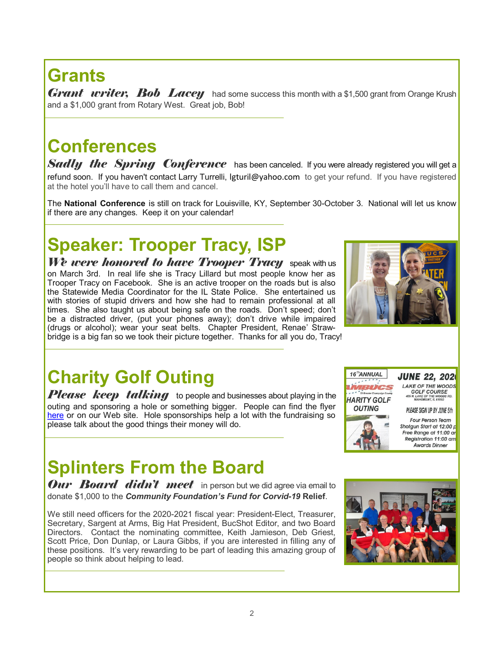# **Grants**

*Grant writer, Bob Lacey* had some success this month with a \$1,500 grant from Orange Krush and a \$1,000 grant from Rotary West. Great job, Bob!

#### **Conferences**

**Sadly the Spring Conference** has been canceled. If you were already registered you will get a refund soon. If you haven't contact Larry Turrelli, lgturil@yahoo.com to get your refund. If you have registered at the hotel you'll have to call them and cancel.

The **National Conference** is still on track for Louisville, KY, September 30-October 3. National will let us know if there are any changes. Keep it on your calendar!

### **Speaker: Trooper Tracy, ISP**

*We were honored to have Trooper Tracy* speak with us on March 3rd. In real life she is Tracy Lillard but most people know her as Trooper Tracy on Facebook. She is an active trooper on the roads but is also the Statewide Media Coordinator for the IL State Police. She entertained us with stories of stupid drivers and how she had to remain professional at all times. She also taught us about being safe on the roads. Don't speed; don't be a distracted driver, (put your phones away); don't drive while impaired (drugs or alcohol); wear your seat belts. Chapter President, Renae' Strawbridge is a big fan so we took their picture together. Thanks for all you do, Tracy!

## **Charity Golf Outing**

*Please keep talking* to people and businesses about playing in the outing and sponsoring a hole or something bigger. People can find the flyer [here](file:///C:/Users/SallyD/Documents/AMBUCS/2020-Golf-Flyer.pdf) or on our Web site. Hole sponsorships help a lot with the fundraising so please talk about the good things their money will do.

#### **Splinters From the Board**

*Our Board didn't meet* in person but we did agree via email to donate \$1,000 to the *Community Foundation's Fund for Corvid-19* **Relief**.

We still need officers for the 2020-2021 fiscal year: President-Elect, Treasurer, Secretary, Sargent at Arms, Big Hat President, BucShot Editor, and two Board Directors. Contact the nominating committee, Keith Jamieson, Deb Griest, Scott Price, Don Dunlap, or Laura Gibbs, if you are interested in filling any of these positions. It's very rewarding to be part of leading this amazing group of people so think about helping to lead.





**JUNE 22, 2020** 

LAKE OF THE WOODS

**AKE OF THE WOOD.**<br>GOLF COURSE<br>405 N. LAKE OF THE WOODS RD.<br>MAHOMENT, IL 61853

PLEASE SIGN UP BY JUNE 5th **Four Person Team** Shotgun Start at 12:00 p Free Range at 11:00 ar Registration 11:00 am **Awards Dinner** 

16<sup>Th</sup>ANNUAL

**HARITY GOLF OUTING** 

BUCS

 $x^*$